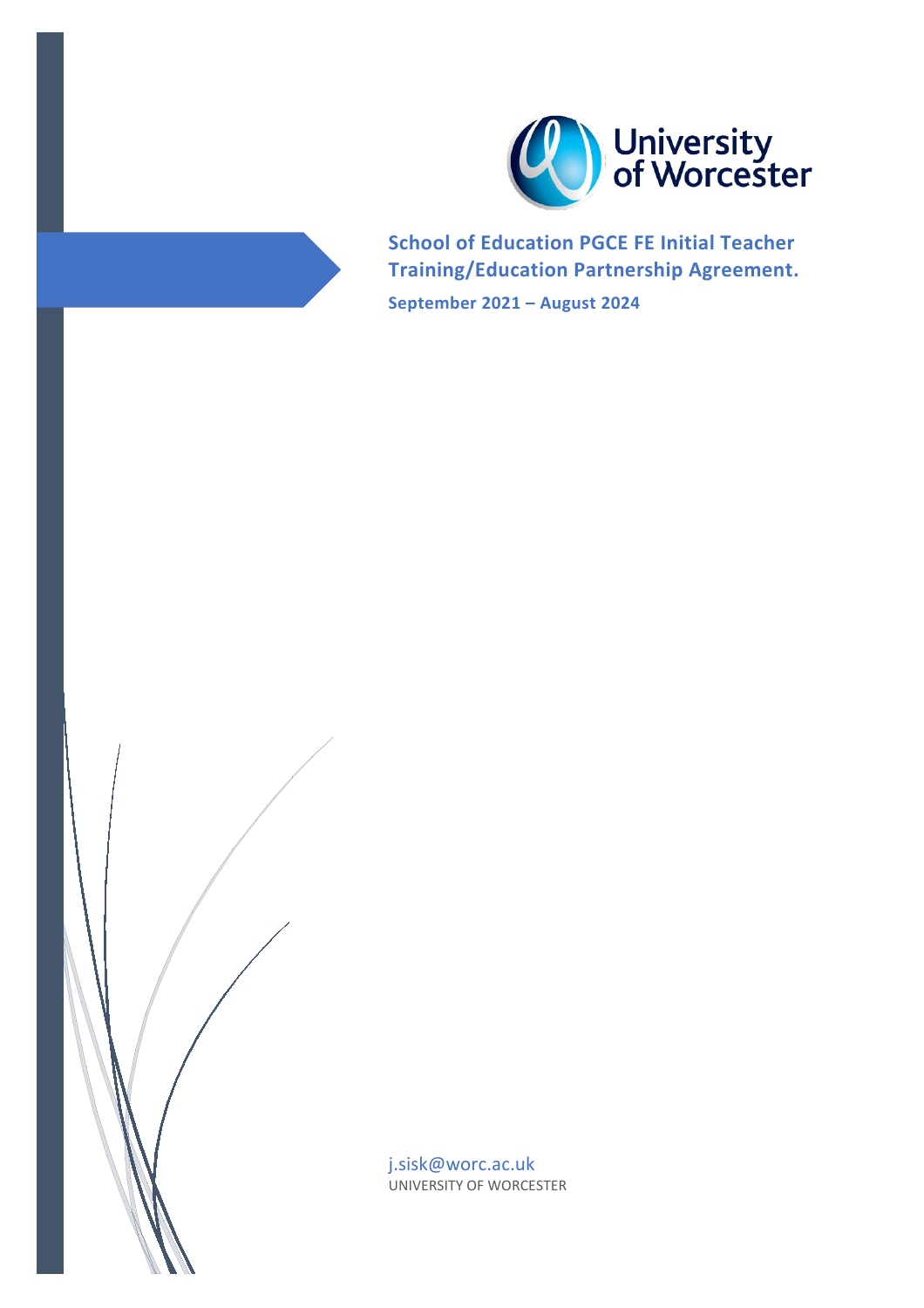

**School of Education PGCE FE Initial Teacher Training/Education Partnership Agreement.**

**September 2021 – August 2024**

j.sisk@worc.ac.uk UNIVERSITY OF WORCESTER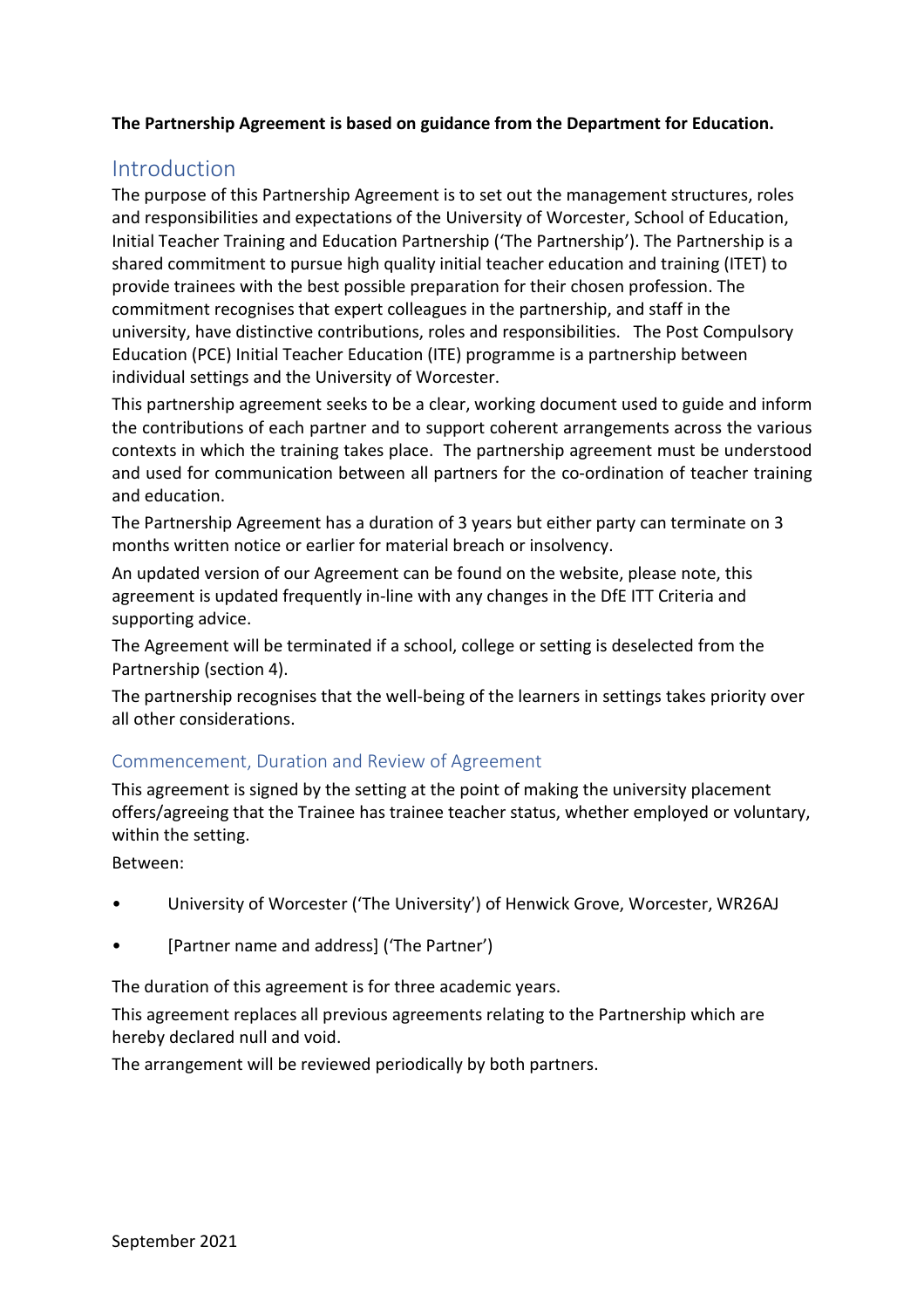### **The Partnership Agreement is based on guidance from the Department for Education.**

## <span id="page-1-0"></span>Introduction

The purpose of this Partnership Agreement is to set out the management structures, roles and responsibilities and expectations of the University of Worcester, School of Education, Initial Teacher Training and Education Partnership ('The Partnership'). The Partnership is a shared commitment to pursue high quality initial teacher education and training (ITET) to provide trainees with the best possible preparation for their chosen profession. The commitment recognises that expert colleagues in the partnership, and staff in the university, have distinctive contributions, roles and responsibilities. The Post Compulsory Education (PCE) Initial Teacher Education (ITE) programme is a partnership between individual settings and the University of Worcester.

This partnership agreement seeks to be a clear, working document used to guide and inform the contributions of each partner and to support coherent arrangements across the various contexts in which the training takes place. The partnership agreement must be understood and used for communication between all partners for the co-ordination of teacher training and education.

The Partnership Agreement has a duration of 3 years but either party can terminate on 3 months written notice or earlier for material breach or insolvency.

An updated version of our Agreement can be found on the website, please note, this agreement is updated frequently in-line with any changes in the [DfE ITT Criteria and](https://www.gov.uk/government/publications/initial-teacher-training-criteria)  [supporting advice.](https://www.gov.uk/government/publications/initial-teacher-training-criteria)

The Agreement will be terminated if a school, college or setting is deselected from the Partnership (section 4).

The partnership recognises that the well-being of the learners in settings takes priority over all other considerations.

### Commencement, Duration and Review of Agreement

This agreement is signed by the setting at the point of making the university placement offers/agreeing that the Trainee has trainee teacher status, whether employed or voluntary, within the setting.

Between:

- University of Worcester ('The University') of Henwick Grove, Worcester, WR26AJ
- [Partner name and address] ('The Partner')

The duration of this agreement is for three academic years.

This agreement replaces all previous agreements relating to the Partnership which are hereby declared null and void.

The arrangement will be reviewed periodically by both partners.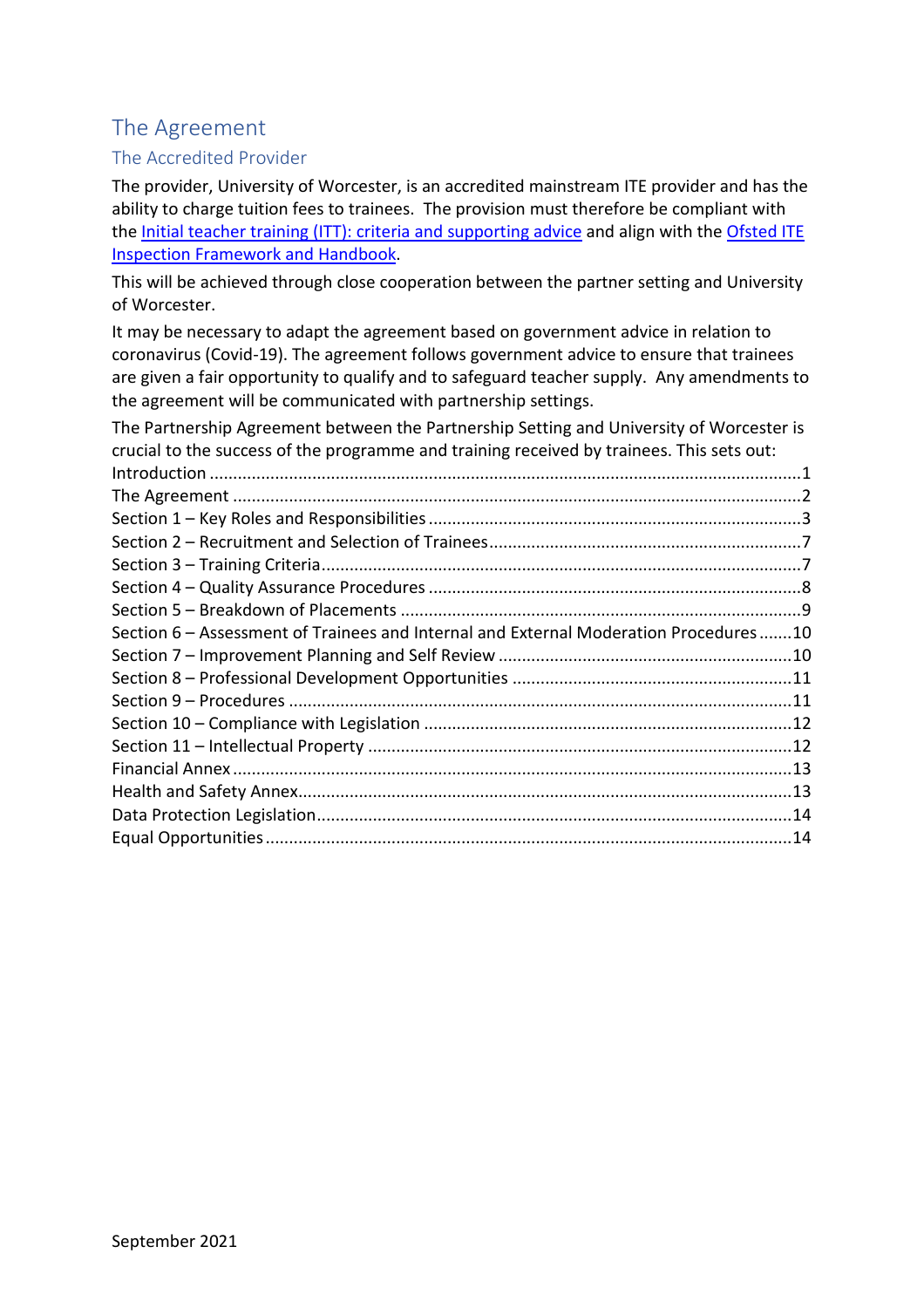# <span id="page-2-0"></span>The Agreement

## The Accredited Provider

The provider, University of Worcester, is an accredited mainstream ITE provider and has the ability to charge tuition fees to trainees. The provision must therefore be compliant with the [Initial teacher training \(ITT\): criteria and supporting advice](https://www.gov.uk/government/publications/initial-teacher-training-criteria) and align with the [Ofsted ITE](https://www.gov.uk/government/publications/initial-teacher-education-inspection-handbook)  [Inspection Framework and Handbook.](https://www.gov.uk/government/publications/initial-teacher-education-inspection-handbook)

This will be achieved through close cooperation between the partner setting and University of Worcester.

It may be necessary to adapt the agreement based on government advice in relation to coronavirus (Covid-19). The agreement follows government advice to ensure that trainees are given a fair opportunity to qualify and to safeguard teacher supply. Any amendments to the agreement will be communicated with partnership settings.

| The Partnership Agreement between the Partnership Setting and University of Worcester is  |  |
|-------------------------------------------------------------------------------------------|--|
| crucial to the success of the programme and training received by trainees. This sets out: |  |
|                                                                                           |  |
|                                                                                           |  |
|                                                                                           |  |
|                                                                                           |  |
|                                                                                           |  |
|                                                                                           |  |
|                                                                                           |  |
| Section 6 - Assessment of Trainees and Internal and External Moderation Procedures10      |  |
|                                                                                           |  |
|                                                                                           |  |
|                                                                                           |  |
|                                                                                           |  |
|                                                                                           |  |
|                                                                                           |  |
|                                                                                           |  |
|                                                                                           |  |
|                                                                                           |  |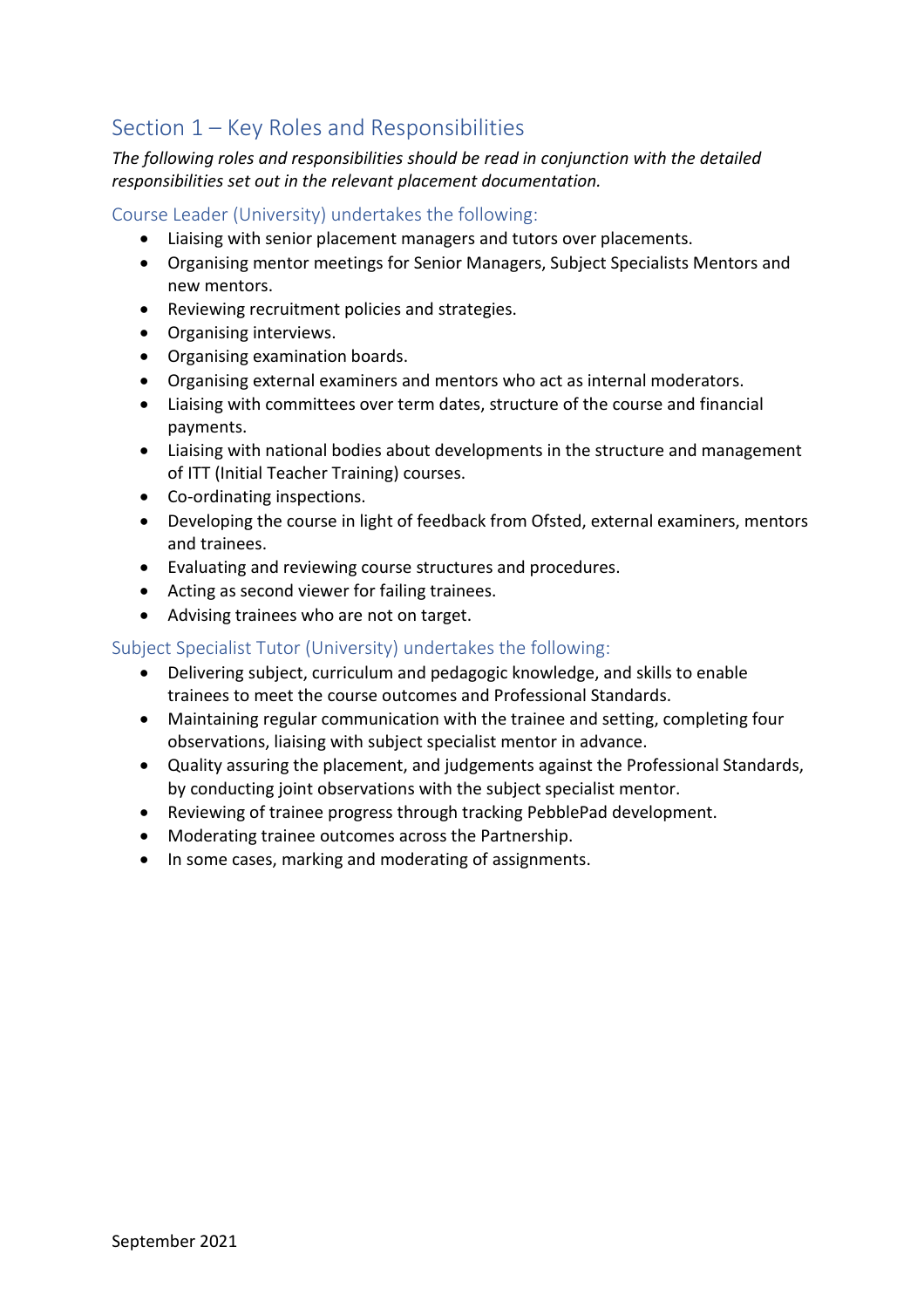# <span id="page-3-0"></span>Section 1 – Key Roles and Responsibilities

*The following roles and responsibilities should be read in conjunction with the detailed responsibilities set out in the relevant placement documentation.* 

Course Leader (University) undertakes the following:

- Liaising with senior placement managers and tutors over placements.
- Organising mentor meetings for Senior Managers, Subject Specialists Mentors and new mentors.
- Reviewing recruitment policies and strategies.
- Organising interviews.
- Organising examination boards.
- Organising external examiners and mentors who act as internal moderators.
- Liaising with committees over term dates, structure of the course and financial payments.
- Liaising with national bodies about developments in the structure and management of ITT (Initial Teacher Training) courses.
- Co-ordinating inspections.
- Developing the course in light of feedback from Ofsted, external examiners, mentors and trainees.
- Evaluating and reviewing course structures and procedures.
- Acting as second viewer for failing trainees.
- Advising trainees who are not on target.

#### Subject Specialist Tutor (University) undertakes the following:

- Delivering subject, curriculum and pedagogic knowledge, and skills to enable trainees to meet the course outcomes and Professional Standards.
- Maintaining regular communication with the trainee and setting, completing four observations, liaising with subject specialist mentor in advance.
- Quality assuring the placement, and judgements against the Professional Standards, by conducting joint observations with the subject specialist mentor.
- Reviewing of trainee progress through tracking PebblePad development.
- Moderating trainee outcomes across the Partnership.
- In some cases, marking and moderating of assignments.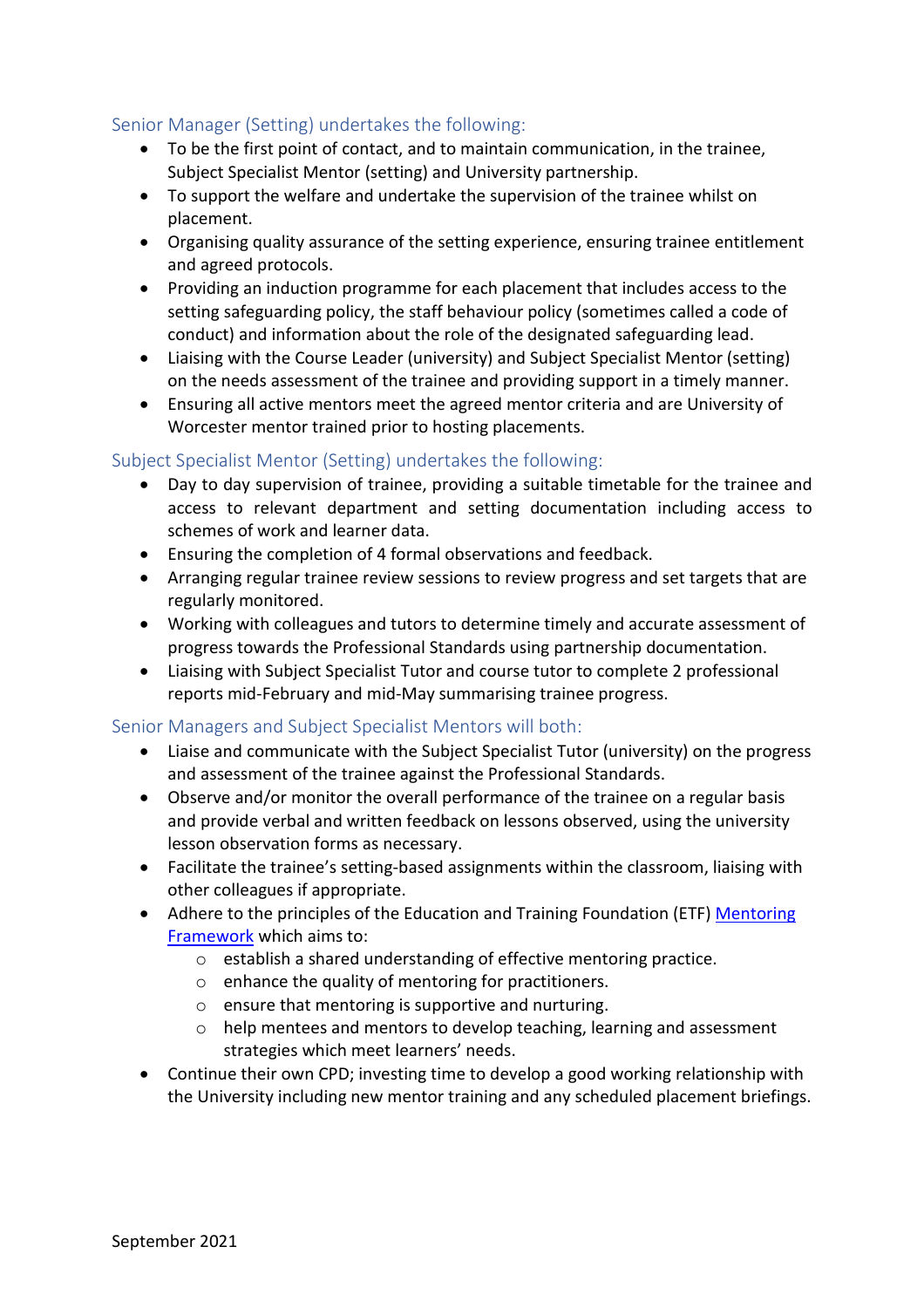## Senior Manager (Setting) undertakes the following:

- To be the first point of contact, and to maintain communication, in the trainee, Subject Specialist Mentor (setting) and University partnership.
- To support the welfare and undertake the supervision of the trainee whilst on placement.
- Organising quality assurance of the setting experience, ensuring trainee entitlement and agreed protocols.
- Providing an induction programme for each placement that includes access to the setting safeguarding policy, the staff behaviour policy (sometimes called a code of conduct) and information about the role of the designated safeguarding lead.
- Liaising with the Course Leader (university) and Subject Specialist Mentor (setting) on the needs assessment of the trainee and providing support in a timely manner.
- Ensuring all active mentors meet the agreed mentor criteria and are University of Worcester mentor trained prior to hosting placements.

#### Subject Specialist Mentor (Setting) undertakes the following:

- Day to day supervision of trainee, providing a suitable timetable for the trainee and access to relevant department and setting documentation including access to schemes of work and learner data.
- Ensuring the completion of 4 formal observations and feedback.
- Arranging regular trainee review sessions to review progress and set targets that are regularly monitored.
- Working with colleagues and tutors to determine timely and accurate assessment of progress towards the Professional Standards using partnership documentation.
- Liaising with Subject Specialist Tutor and course tutor to complete 2 professional reports mid-February and mid-May summarising trainee progress.

### Senior Managers and Subject Specialist Mentors will both:

- Liaise and communicate with the Subject Specialist Tutor (university) on the progress and assessment of the trainee against the Professional Standards.
- Observe and/or monitor the overall performance of the trainee on a regular basis and provide verbal and written feedback on lessons observed, using the university lesson observation forms as necessary.
- Facilitate the trainee's setting-based assignments within the classroom, liaising with other colleagues if appropriate.
- Adhere to the principles of the Education and Training Foundation (ETF) Mentoring [Framework](https://www.et-foundation.co.uk/supporting/professional-development/mentoring/framework-and-guides/) which aims to:
	- o establish a shared understanding of effective mentoring practice.
	- o enhance the quality of mentoring for practitioners.
	- o ensure that mentoring is supportive and nurturing.
	- o help mentees and mentors to develop teaching, learning and assessment strategies which meet learners' needs.
- Continue their own CPD; investing time to develop a good working relationship with the University including new mentor training and any scheduled placement briefings.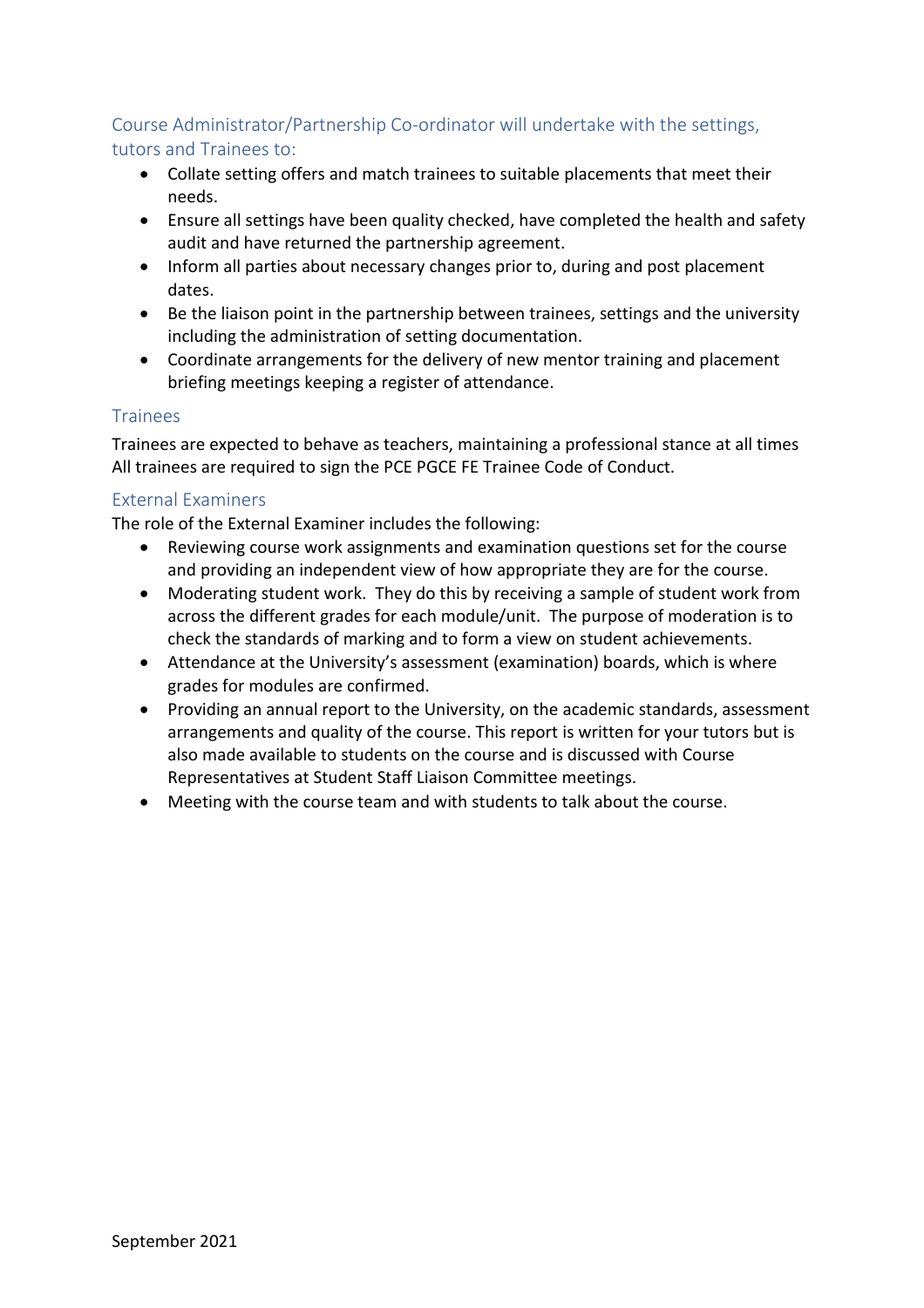## Course Administrator/Partnership Co-ordinator will undertake with the settings, tutors and Trainees to:

- Collate setting offers and match trainees to suitable placements that meet their needs.
- Ensure all settings have been quality checked, have completed the health and safety audit and have returned the partnership agreement.
- Inform all parties about necessary changes prior to, during and post placement dates.
- Be the liaison point in the partnership between trainees, settings and the university including the administration of setting documentation.
- Coordinate arrangements for the delivery of new mentor training and placement briefing meetings keeping a register of attendance.

## Trainees

Trainees are expected to behave as teachers, maintaining a professional stance at all times All trainees are required to sign the PCE PGCE FE Trainee Code of Conduct.

## External Examiners

The role of the External Examiner includes the following:

- Reviewing course work assignments and examination questions set for the course and providing an independent view of how appropriate they are for the course.
- Moderating student work. They do this by receiving a sample of student work from across the different grades for each module/unit. The purpose of moderation is to check the standards of marking and to form a view on student achievements.
- Attendance at the University's assessment (examination) boards, which is where grades for modules are confirmed.
- Providing an annual report to the University, on the academic standards, assessment arrangements and quality of the course. This report is written for your tutors but is also made available to students on the course and is discussed with Course Representatives at Student Staff Liaison Committee meetings.
- Meeting with the course team and with students to talk about the course.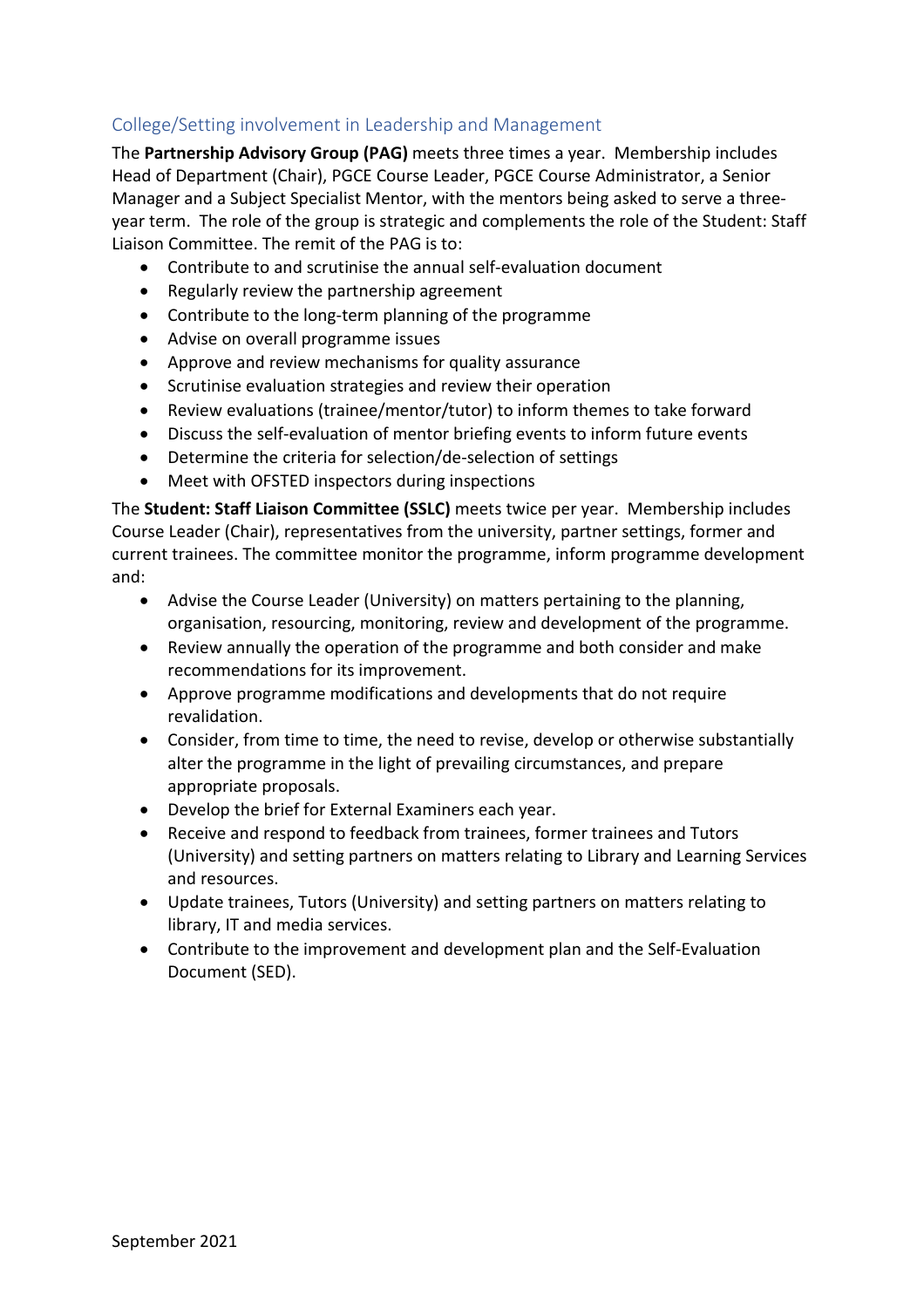## College/Setting involvement in Leadership and Management

The **Partnership Advisory Group (PAG)** meets three times a year. Membership includes Head of Department (Chair), PGCE Course Leader, PGCE Course Administrator, a Senior Manager and a Subject Specialist Mentor, with the mentors being asked to serve a threeyear term. The role of the group is strategic and complements the role of the Student: Staff Liaison Committee. The remit of the PAG is to:

- Contribute to and scrutinise the annual self-evaluation document
- Regularly review the partnership agreement
- Contribute to the long-term planning of the programme
- Advise on overall programme issues
- Approve and review mechanisms for quality assurance
- Scrutinise evaluation strategies and review their operation
- Review evaluations (trainee/mentor/tutor) to inform themes to take forward
- Discuss the self-evaluation of mentor briefing events to inform future events
- Determine the criteria for selection/de-selection of settings
- Meet with OFSTED inspectors during inspections

The **Student: Staff Liaison Committee (SSLC)** meets twice per year. Membership includes Course Leader (Chair), representatives from the university, partner settings, former and current trainees. The committee monitor the programme, inform programme development and:

- Advise the Course Leader (University) on matters pertaining to the planning, organisation, resourcing, monitoring, review and development of the programme.
- Review annually the operation of the programme and both consider and make recommendations for its improvement.
- Approve programme modifications and developments that do not require revalidation.
- Consider, from time to time, the need to revise, develop or otherwise substantially alter the programme in the light of prevailing circumstances, and prepare appropriate proposals.
- Develop the brief for External Examiners each year.
- Receive and respond to feedback from trainees, former trainees and Tutors (University) and setting partners on matters relating to Library and Learning Services and resources.
- Update trainees, Tutors (University) and setting partners on matters relating to library, IT and media services.
- Contribute to the improvement and development plan and the Self-Evaluation Document (SED).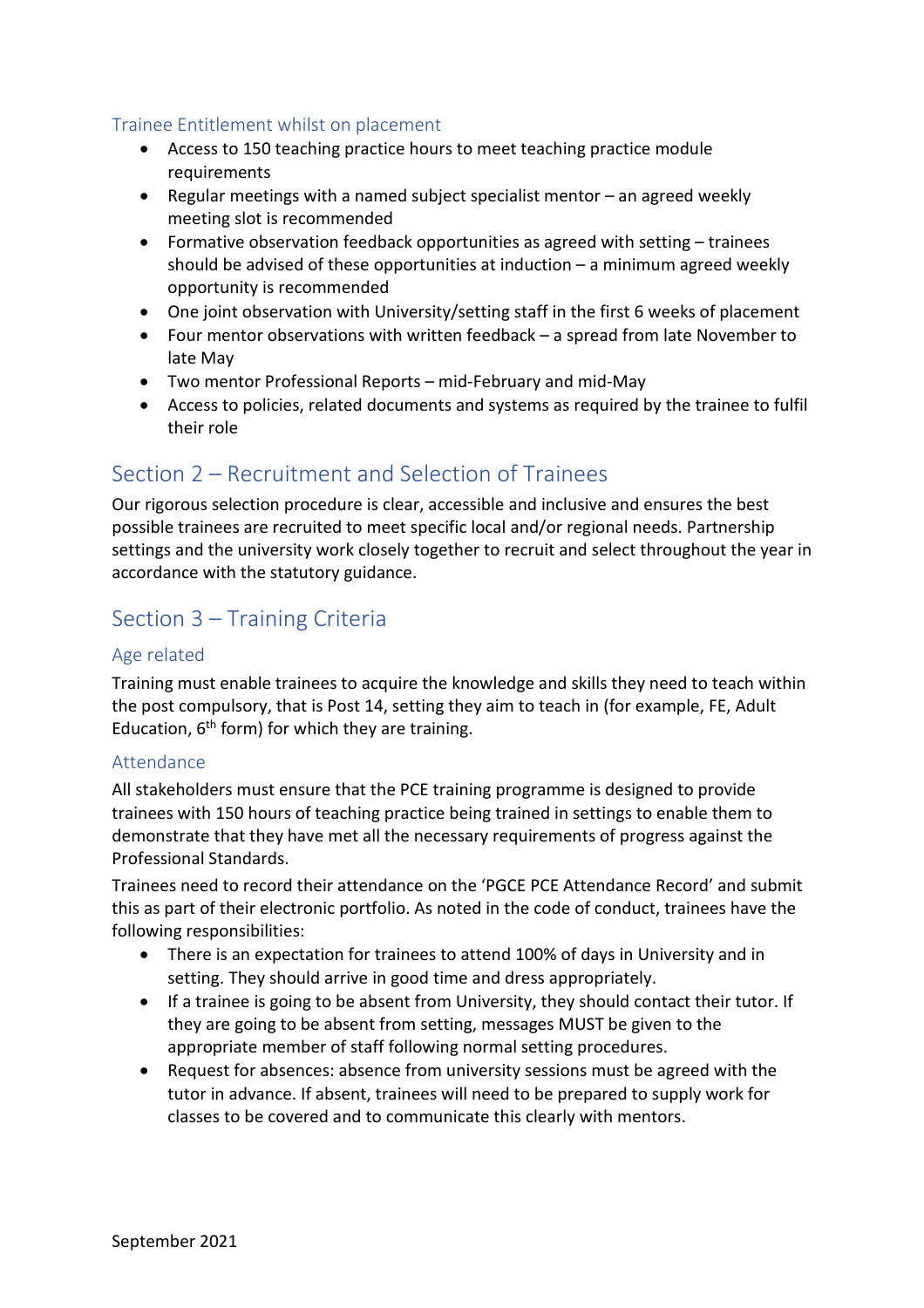### Trainee Entitlement whilst on placement

- Access to 150 teaching practice hours to meet teaching practice module requirements
- Regular meetings with a named subject specialist mentor an agreed weekly meeting slot is recommended
- Formative observation feedback opportunities as agreed with setting trainees should be advised of these opportunities at induction – a minimum agreed weekly opportunity is recommended
- One joint observation with University/setting staff in the first 6 weeks of placement
- Four mentor observations with written feedback a spread from late November to late May
- Two mentor Professional Reports mid-February and mid-May
- Access to policies, related documents and systems as required by the trainee to fulfil their role

## <span id="page-7-0"></span>Section 2 – Recruitment and Selection of Trainees

Our rigorous selection procedure is clear, accessible and inclusive and ensures the best possible trainees are recruited to meet specific local and/or regional needs. Partnership settings and the university work closely together to recruit and select throughout the year in accordance with the statutory guidance.

## <span id="page-7-1"></span>Section 3 – Training Criteria

### Age related

Training must enable trainees to acquire the knowledge and skills they need to teach within the post compulsory, that is Post 14, setting they aim to teach in (for example, FE, Adult Education,  $6<sup>th</sup>$  form) for which they are training.

#### Attendance

All stakeholders must ensure that the PCE training programme is designed to provide trainees with 150 hours of teaching practice being trained in settings to enable them to demonstrate that they have met all the necessary requirements of progress against the Professional Standards.

Trainees need to record their attendance on the 'PGCE PCE Attendance Record' and submit this as part of their electronic portfolio. As noted in the code of conduct, trainees have the following responsibilities:

- There is an expectation for trainees to attend 100% of days in University and in setting. They should arrive in good time and dress appropriately.
- If a trainee is going to be absent from University, they should contact their tutor. If they are going to be absent from setting, messages MUST be given to the appropriate member of staff following normal setting procedures.
- Request for absences: absence from university sessions must be agreed with the tutor in advance. If absent, trainees will need to be prepared to supply work for classes to be covered and to communicate this clearly with mentors.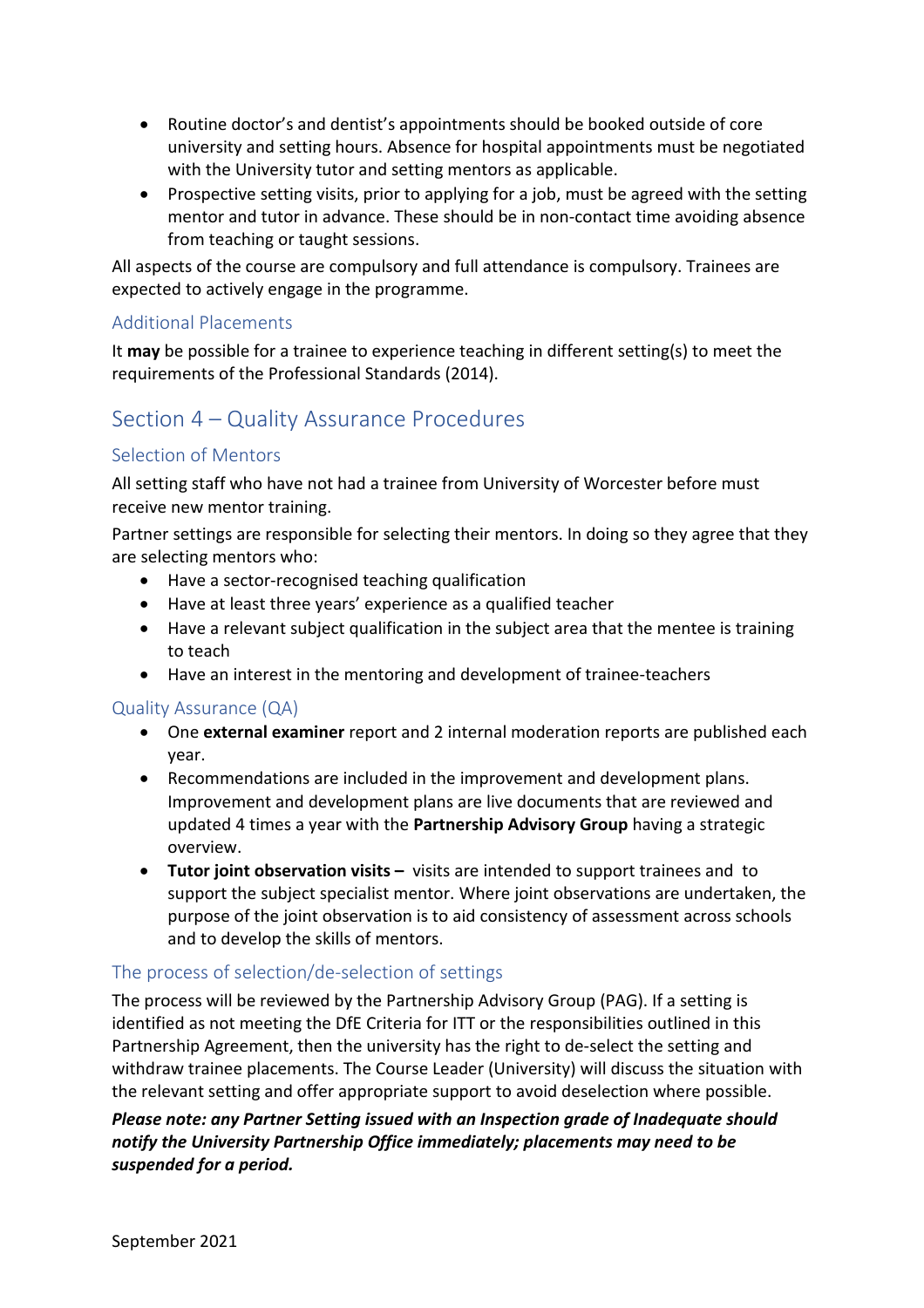- Routine doctor's and dentist's appointments should be booked outside of core university and setting hours. Absence for hospital appointments must be negotiated with the University tutor and setting mentors as applicable.
- Prospective setting visits, prior to applying for a job, must be agreed with the setting mentor and tutor in advance. These should be in non-contact time avoiding absence from teaching or taught sessions.

All aspects of the course are compulsory and full attendance is compulsory. Trainees are expected to actively engage in the programme.

## Additional Placements

It **may** be possible for a trainee to experience teaching in different setting(s) to meet the requirements of the Professional Standards (2014).

## <span id="page-8-0"></span>Section 4 – Quality Assurance Procedures

## Selection of Mentors

All setting staff who have not had a trainee from University of Worcester before must receive new mentor training.

Partner settings are responsible for selecting their mentors. In doing so they agree that they are selecting mentors who:

- Have a sector-recognised teaching qualification
- Have at least three years' experience as a qualified teacher
- Have a relevant subject qualification in the subject area that the mentee is training to teach
- Have an interest in the mentoring and development of trainee-teachers

### Quality Assurance (QA)

- One **external examiner** report and 2 internal moderation reports are published each year.
- Recommendations are included in the improvement and development plans. Improvement and development plans are live documents that are reviewed and updated 4 times a year with the **Partnership Advisory Group** having a strategic overview.
- **Tutor joint observation visits –** visits are intended to support trainees and to support the subject specialist mentor. Where joint observations are undertaken, the purpose of the joint observation is to aid consistency of assessment across schools and to develop the skills of mentors.

### The process of selection/de-selection of settings

The process will be reviewed by the Partnership Advisory Group (PAG). If a setting is identified as not meeting the DfE Criteria for ITT or the responsibilities outlined in this Partnership Agreement, then the university has the right to de-select the setting and withdraw trainee placements. The Course Leader (University) will discuss the situation with the relevant setting and offer appropriate support to avoid deselection where possible.

## *Please note: any Partner Setting issued with an Inspection grade of Inadequate should notify the University Partnership Office immediately; placements may need to be suspended for a period.*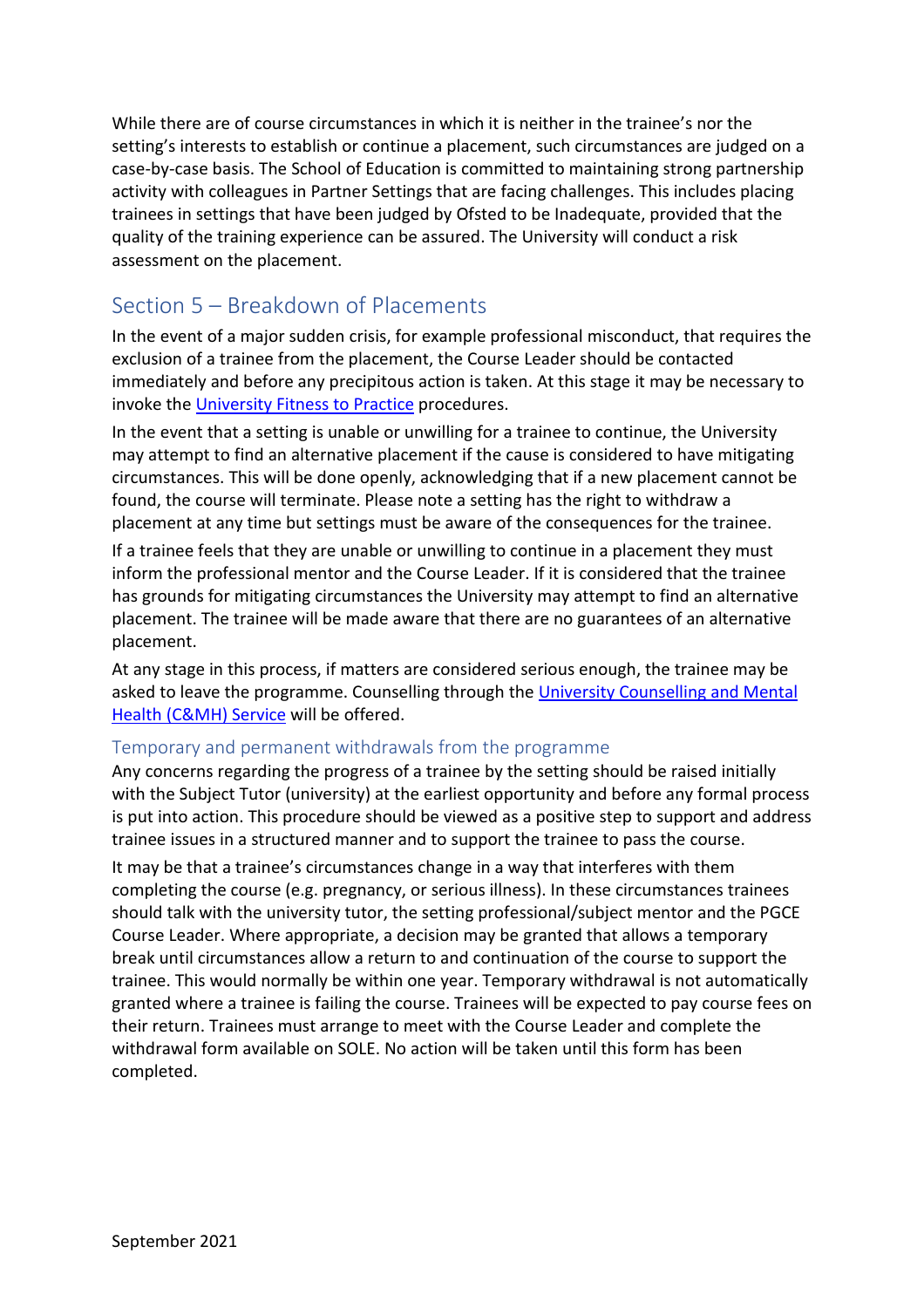While there are of course circumstances in which it is neither in the trainee's nor the setting's interests to establish or continue a placement, such circumstances are judged on a case-by-case basis. The School of Education is committed to maintaining strong partnership activity with colleagues in Partner Settings that are facing challenges. This includes placing trainees in settings that have been judged by Ofsted to be Inadequate, provided that the quality of the training experience can be assured. The University will conduct a risk assessment on the placement.

## <span id="page-9-0"></span>Section 5 – Breakdown of Placements

In the event of a major sudden crisis, for example professional misconduct, that requires the exclusion of a trainee from the placement, the Course Leader should be contacted immediately and before any precipitous action is taken. At this stage it may be necessary to invoke the [University Fitness to Practice](https://www2.worc.ac.uk/registryservices/documents/FitnesstoPractiseProcedures.pdf) procedures.

In the event that a setting is unable or unwilling for a trainee to continue, the University may attempt to find an alternative placement if the cause is considered to have mitigating circumstances. This will be done openly, acknowledging that if a new placement cannot be found, the course will terminate. Please note a setting has the right to withdraw a placement at any time but settings must be aware of the consequences for the trainee.

If a trainee feels that they are unable or unwilling to continue in a placement they must inform the professional mentor and the Course Leader. If it is considered that the trainee has grounds for mitigating circumstances the University may attempt to find an alternative placement. The trainee will be made aware that there are no guarantees of an alternative placement.

At any stage in this process, if matters are considered serious enough, the trainee may be asked to leave the programme. Counselling through the University Counselling and Mental [Health \(C&MH\) Service](https://www2.worc.ac.uk/firstpoint/counselling-and-mental-health.html) will be offered.

## Temporary and permanent withdrawals from the programme

Any concerns regarding the progress of a trainee by the setting should be raised initially with the Subject Tutor (university) at the earliest opportunity and before any formal process is put into action. This procedure should be viewed as a positive step to support and address trainee issues in a structured manner and to support the trainee to pass the course. It may be that a trainee's circumstances change in a way that interferes with them completing the course (e.g. pregnancy, or serious illness). In these circumstances trainees should talk with the university tutor, the setting professional/subject mentor and the PGCE Course Leader. Where appropriate, a decision may be granted that allows a temporary break until circumstances allow a return to and continuation of the course to support the trainee. This would normally be within one year. Temporary withdrawal is not automatically granted where a trainee is failing the course. Trainees will be expected to pay course fees on their return. Trainees must arrange to meet with the Course Leader and complete the withdrawal form available on SOLE. No action will be taken until this form has been completed.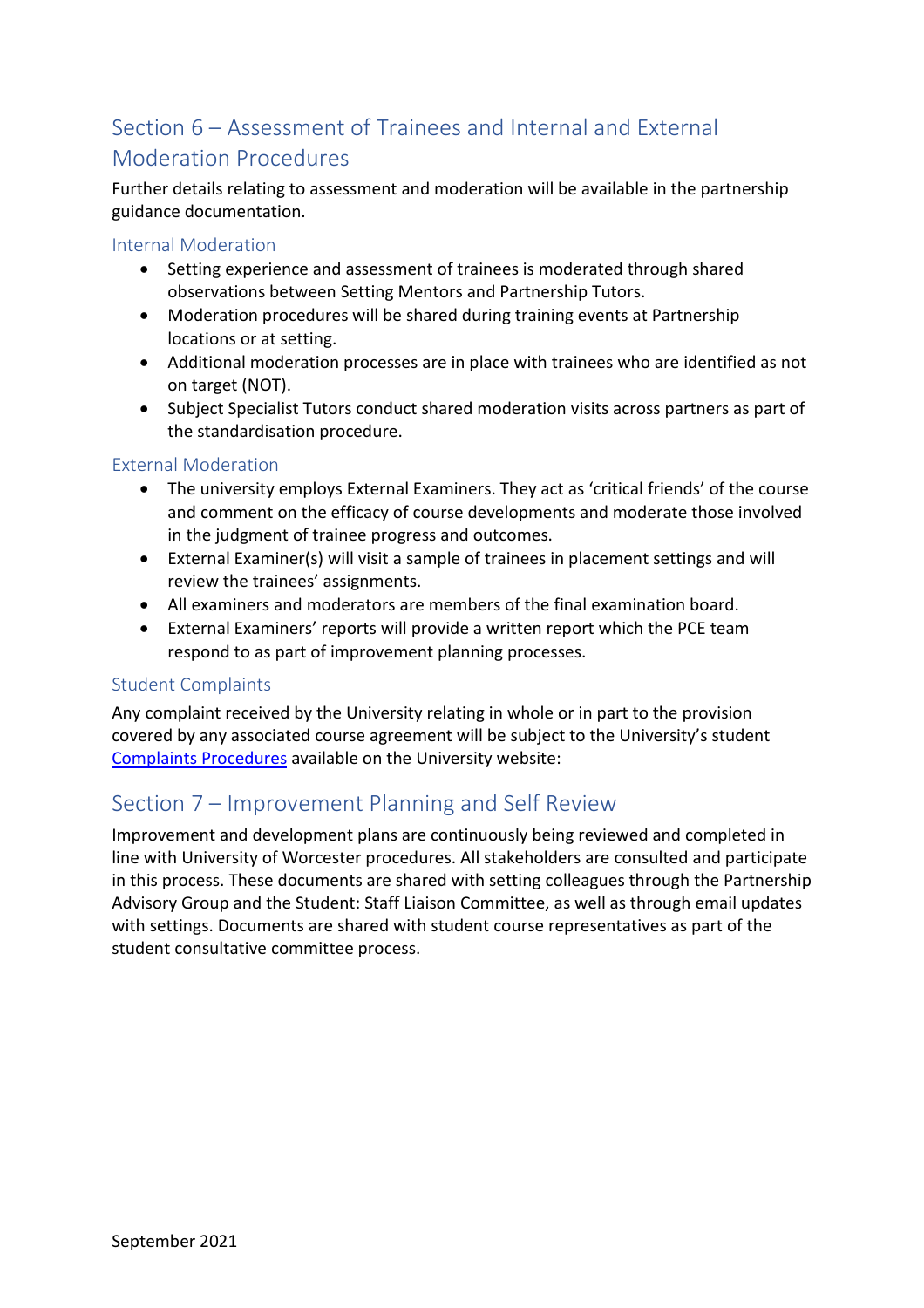# <span id="page-10-0"></span>Section 6 – Assessment of Trainees and Internal and External Moderation Procedures

Further details relating to assessment and moderation will be available in the partnership guidance documentation.

Internal Moderation

- Setting experience and assessment of trainees is moderated through shared observations between Setting Mentors and Partnership Tutors.
- Moderation procedures will be shared during training events at Partnership locations or at setting.
- Additional moderation processes are in place with trainees who are identified as not on target (NOT).
- Subject Specialist Tutors conduct shared moderation visits across partners as part of the standardisation procedure.

## External Moderation

- The university employs External Examiners. They act as 'critical friends' of the course and comment on the efficacy of course developments and moderate those involved in the judgment of trainee progress and outcomes.
- External Examiner(s) will visit a sample of trainees in placement settings and will review the trainees' assignments.
- All examiners and moderators are members of the final examination board.
- External Examiners' reports will provide a written report which the PCE team respond to as part of improvement planning processes.

## Student Complaints

Any complaint received by the University relating in whole or in part to the provision covered by any associated course agreement will be subject to the University's student [Complaints Procedures](https://www2.worc.ac.uk/firstpoint/complaints.html) available on the University website:

## <span id="page-10-1"></span>Section 7 – Improvement Planning and Self Review

Improvement and development plans are continuously being reviewed and completed in line with University of Worcester procedures. All stakeholders are consulted and participate in this process. These documents are shared with setting colleagues through the Partnership Advisory Group and the Student: Staff Liaison Committee, as well as through email updates with settings. Documents are shared with student course representatives as part of the student consultative committee process.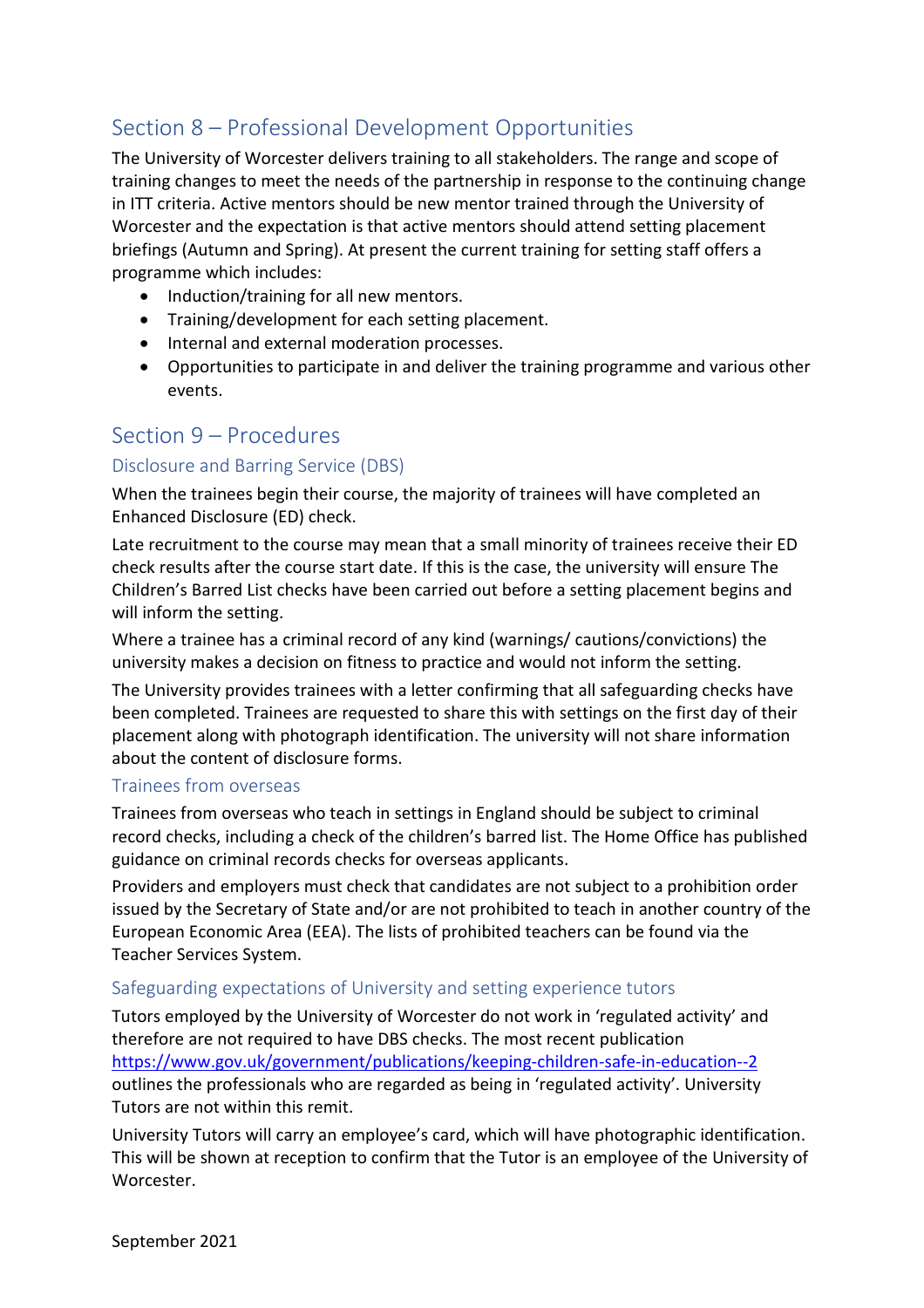# <span id="page-11-0"></span>Section 8 – Professional Development Opportunities

The University of Worcester delivers training to all stakeholders. The range and scope of training changes to meet the needs of the partnership in response to the continuing change in ITT criteria. Active mentors should be new mentor trained through the University of Worcester and the expectation is that active mentors should attend setting placement briefings (Autumn and Spring). At present the current training for setting staff offers a programme which includes:

- Induction/training for all new mentors.
- Training/development for each setting placement.
- Internal and external moderation processes.
- Opportunities to participate in and deliver the training programme and various other events.

## <span id="page-11-1"></span>Section 9 – Procedures

## Disclosure and Barring Service (DBS)

When the trainees begin their course, the majority of trainees will have completed an Enhanced Disclosure (ED) check.

Late recruitment to the course may mean that a small minority of trainees receive their ED check results after the course start date. If this is the case, the university will ensure The Children's Barred List checks have been carried out before a setting placement begins and will inform the setting.

Where a trainee has a criminal record of any kind (warnings/ cautions/convictions) the university makes a decision on fitness to practice and would not inform the setting.

The University provides trainees with a letter confirming that all safeguarding checks have been completed. Trainees are requested to share this with settings on the first day of their placement along with photograph identification. The university will not share information about the content of disclosure forms.

### Trainees from overseas

Trainees from overseas who teach in settings in England should be subject to criminal record checks, including a check of the children's barred list. The Home Office has published guidance on criminal records checks for overseas applicants.

Providers and employers must check that candidates are not subject to a prohibition order issued by the Secretary of State and/or are not prohibited to teach in another country of the European Economic Area (EEA). The lists of prohibited teachers can be found via the Teacher Services System.

### Safeguarding expectations of University and setting experience tutors

Tutors employed by the University of Worcester do not work in 'regulated activity' and therefore are not required to have DBS checks. The most recent publication <https://www.gov.uk/government/publications/keeping-children-safe-in-education--2> outlines the professionals who are regarded as being in 'regulated activity'. University Tutors are not within this remit.

University Tutors will carry an employee's card, which will have photographic identification. This will be shown at reception to confirm that the Tutor is an employee of the University of Worcester.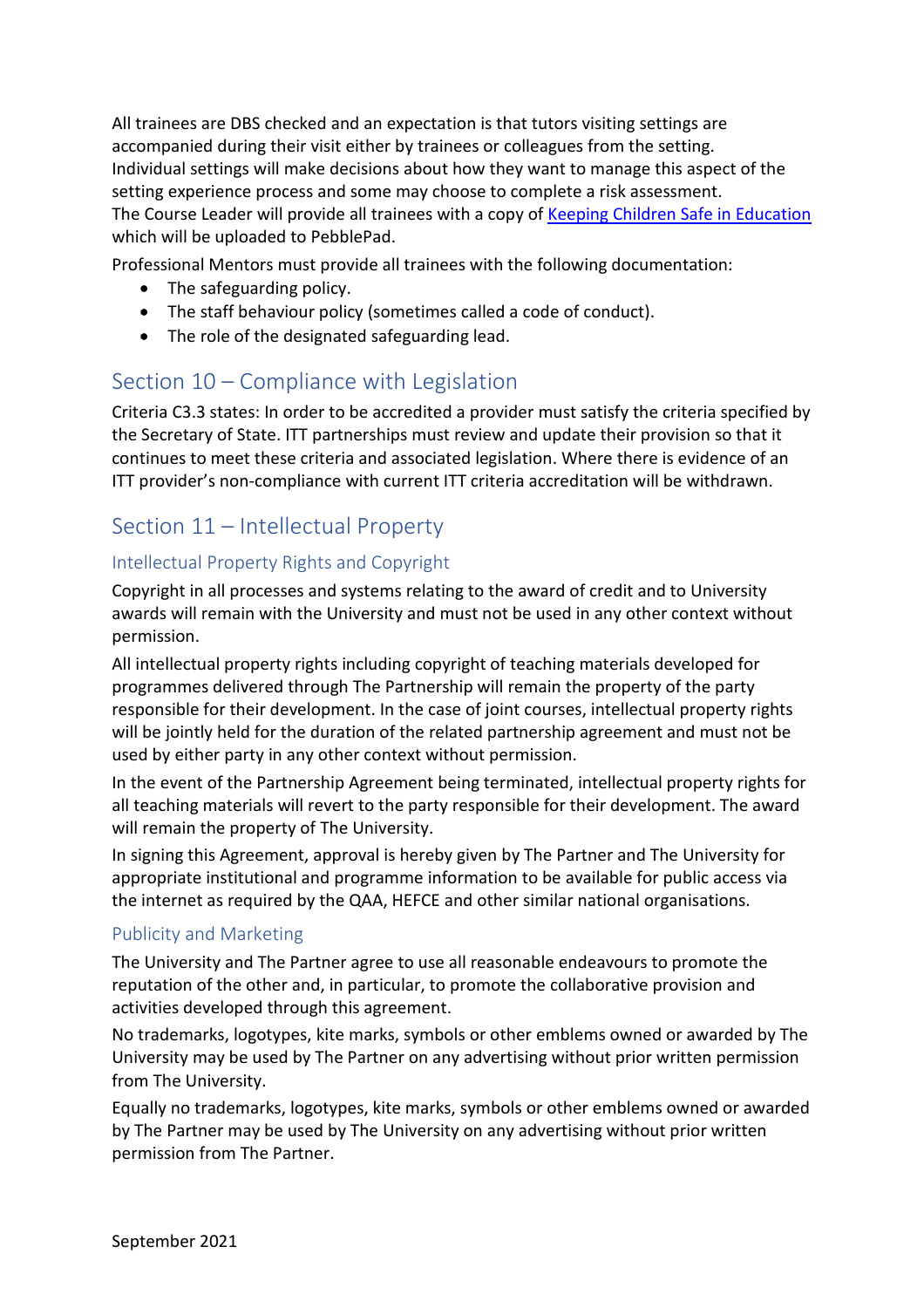All trainees are DBS checked and an expectation is that tutors visiting settings are accompanied during their visit either by trainees or colleagues from the setting. Individual settings will make decisions about how they want to manage this aspect of the setting experience process and some may choose to complete a risk assessment. The Course Leader will provide all trainees with a copy of [Keeping Children Safe in Education](https://assets.publishing.service.gov.uk/government/uploads/system/uploads/attachment_data/file/1014057/KCSIE_2021_September.pdf) which will be uploaded to PebblePad.

Professional Mentors must provide all trainees with the following documentation:

- The safeguarding policy.
- The staff behaviour policy (sometimes called a code of conduct).
- The role of the designated safeguarding lead.

## <span id="page-12-0"></span>Section 10 – Compliance with Legislation

Criteria C3.3 states: In order to be accredited a provider must satisfy the criteria specified by the Secretary of State. ITT partnerships must review and update their provision so that it continues to meet these criteria and associated legislation. Where there is evidence of an ITT provider's non-compliance with current ITT criteria accreditation will be withdrawn.

# <span id="page-12-1"></span>Section 11 – Intellectual Property

## Intellectual Property Rights and Copyright

Copyright in all processes and systems relating to the award of credit and to University awards will remain with the University and must not be used in any other context without permission.

All intellectual property rights including copyright of teaching materials developed for programmes delivered through The Partnership will remain the property of the party responsible for their development. In the case of joint courses, intellectual property rights will be jointly held for the duration of the related partnership agreement and must not be used by either party in any other context without permission.

In the event of the Partnership Agreement being terminated, intellectual property rights for all teaching materials will revert to the party responsible for their development. The award will remain the property of The University.

In signing this Agreement, approval is hereby given by The Partner and The University for appropriate institutional and programme information to be available for public access via the internet as required by the QAA, HEFCE and other similar national organisations.

## Publicity and Marketing

The University and The Partner agree to use all reasonable endeavours to promote the reputation of the other and, in particular, to promote the collaborative provision and activities developed through this agreement.

No trademarks, logotypes, kite marks, symbols or other emblems owned or awarded by The University may be used by The Partner on any advertising without prior written permission from The University.

Equally no trademarks, logotypes, kite marks, symbols or other emblems owned or awarded by The Partner may be used by The University on any advertising without prior written permission from The Partner.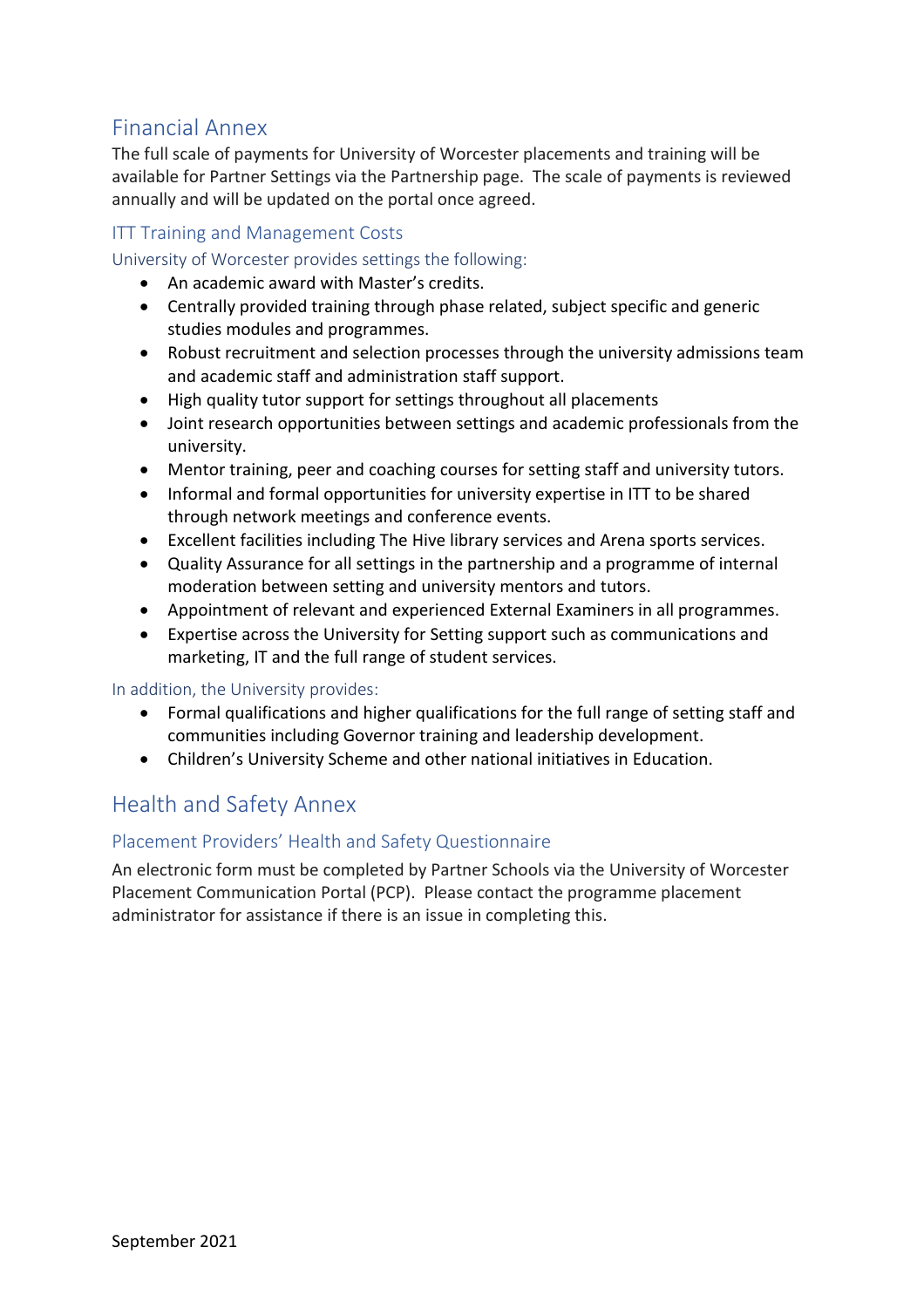# <span id="page-13-0"></span>Financial Annex

The full scale of payments for University of Worcester placements and training will be available for Partner Settings via the Partnership page. The scale of payments is reviewed annually and will be updated on the portal once agreed.

## ITT Training and Management Costs

University of Worcester provides settings the following:

- An academic award with Master's credits.
- Centrally provided training through phase related, subject specific and generic studies modules and programmes.
- Robust recruitment and selection processes through the university admissions team and academic staff and administration staff support.
- High quality tutor support for settings throughout all placements
- Joint research opportunities between settings and academic professionals from the university.
- Mentor training, peer and coaching courses for setting staff and university tutors.
- Informal and formal opportunities for university expertise in ITT to be shared through network meetings and conference events.
- Excellent facilities including The Hive library services and Arena sports services.
- Quality Assurance for all settings in the partnership and a programme of internal moderation between setting and university mentors and tutors.
- Appointment of relevant and experienced External Examiners in all programmes.
- Expertise across the University for Setting support such as communications and marketing, IT and the full range of student services.

#### In addition, the University provides:

- Formal qualifications and higher qualifications for the full range of setting staff and communities including Governor training and leadership development.
- Children's University Scheme and other national initiatives in Education.

## <span id="page-13-1"></span>Health and Safety Annex

### Placement Providers' Health and Safety Questionnaire

An electronic form must be completed by Partner Schools via the University of Worcester Placement Communication Portal (PCP). Please contact the programme placement administrator for assistance if there is an issue in completing this.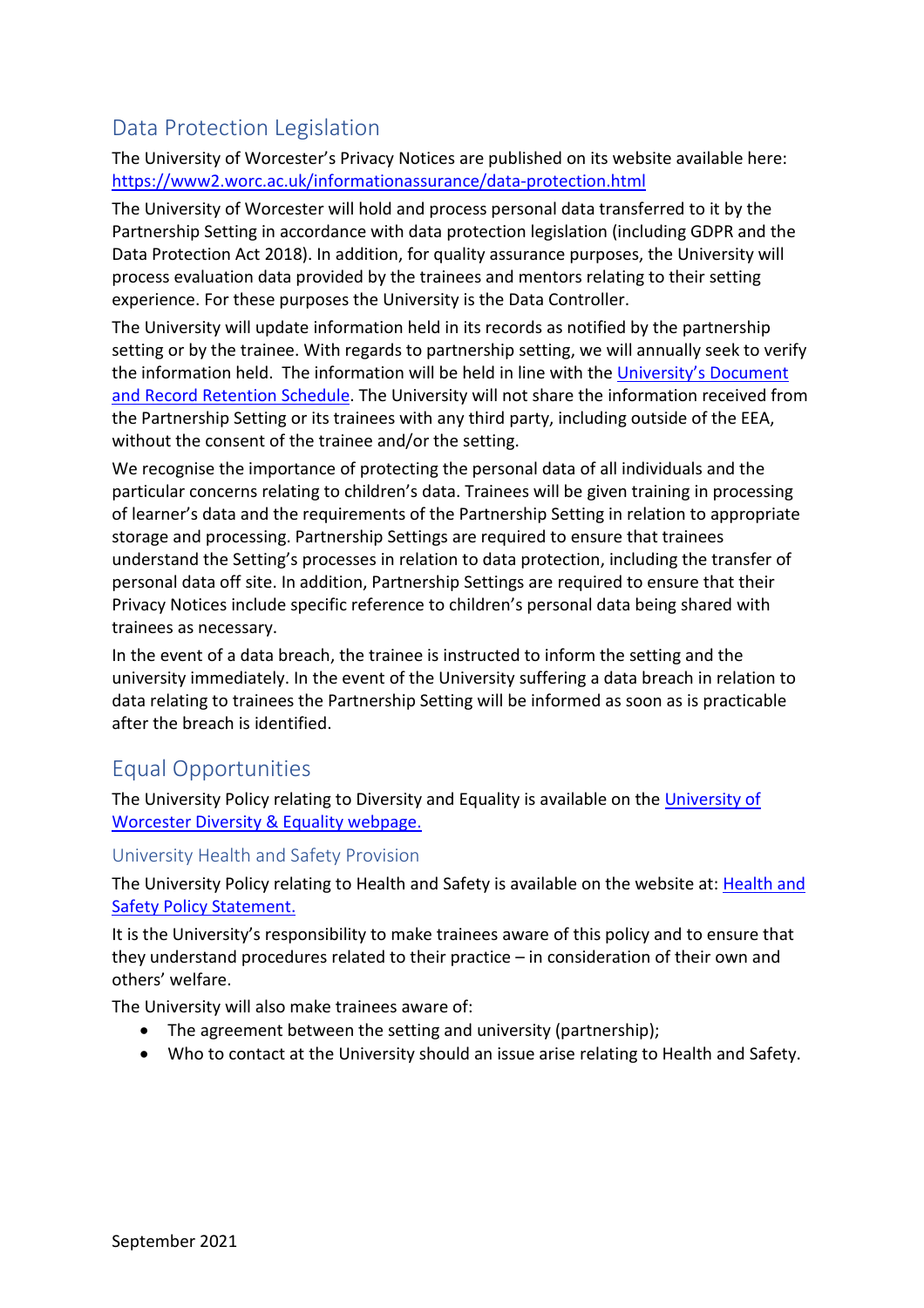# <span id="page-14-0"></span>Data Protection Legislation

The University of Worcester's Privacy Notices are published on its website available here: <https://www2.worc.ac.uk/informationassurance/data-protection.html>

The University of Worcester will hold and process personal data transferred to it by the Partnership Setting in accordance with data protection legislation (including GDPR and the Data Protection Act 2018). In addition, for quality assurance purposes, the University will process evaluation data provided by the trainees and mentors relating to their setting experience. For these purposes the University is the Data Controller.

The University will update information held in its records as notified by the partnership setting or by the trainee. With regards to partnership setting, we will annually seek to verify the information held. The information will be held in line with the [University's Document](https://www.worcester.ac.uk/informationassurance/records-management.html)  [and Record Retention Schedule.](https://www.worcester.ac.uk/informationassurance/records-management.html) The University will not share the information received from the Partnership Setting or its trainees with any third party, including outside of the EEA, without the consent of the trainee and/or the setting.

We recognise the importance of protecting the personal data of all individuals and the particular concerns relating to children's data. Trainees will be given training in processing of learner's data and the requirements of the Partnership Setting in relation to appropriate storage and processing. Partnership Settings are required to ensure that trainees understand the Setting's processes in relation to data protection, including the transfer of personal data off site. In addition, Partnership Settings are required to ensure that their Privacy Notices include specific reference to children's personal data being shared with trainees as necessary.

In the event of a data breach, the trainee is instructed to inform the setting and the university immediately. In the event of the University suffering a data breach in relation to data relating to trainees the Partnership Setting will be informed as soon as is practicable after the breach is identified.

## <span id="page-14-1"></span>Equal Opportunities

The University Policy relating to Diversity and Equality is available on the University of [Worcester Diversity & Equality webpage.](http://www.worc.ac.uk/personnel/655.htm)

### University Health and Safety Provision

The University Policy relating to Health and Safety is available on the website at: [Health and](https://www2.worc.ac.uk/facilities-staff/documents/Policy_Statement_Agreed_v3_-_Updated_May_2021_-signed_version_(1).pdf)  **[Safety Policy Statement.](https://www2.worc.ac.uk/facilities-staff/documents/Policy_Statement_Agreed_v3_-_Updated_May_2021_-signed_version_(1).pdf)** 

It is the University's responsibility to make trainees aware of this policy and to ensure that they understand procedures related to their practice – in consideration of their own and others' welfare.

The University will also make trainees aware of:

- The agreement between the setting and university (partnership);
- Who to contact at the University should an issue arise relating to Health and Safety.